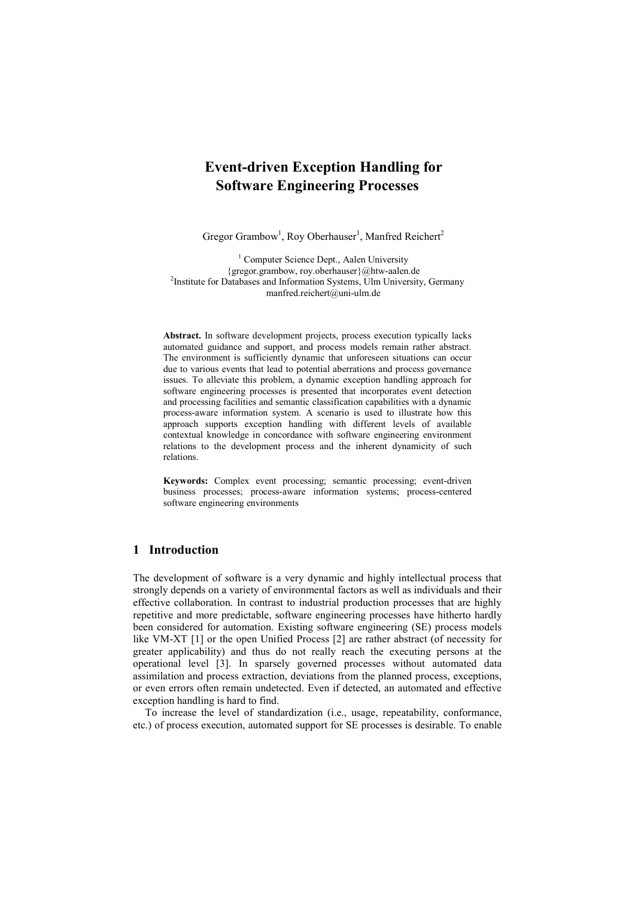# **Event-driven Exception Handling for Software Engineering Processes**

Gregor Grambow<sup>1</sup>, Roy Oberhauser<sup>1</sup>, Manfred Reichert<sup>2</sup>

<sup>1</sup> Computer Science Dept., Aalen University<br>{gregor.grambow, roy.oberhauser}@htw-aalen.de {gregor.grambow, roy.oberhauser}@htw-aalen.de <sup>2</sup> Institute for Databases and Information Systems, Ulm University, Germany manfred.reichert@uni-ulm.de

**Abstract.** In software development projects, process execution typically lacks automated guidance and support, and process models remain rather abstract. The environment is sufficiently dynamic that unforeseen situations can occur due to various events that lead to potential aberrations and process governance issues. To alleviate this problem, a dynamic exception handling approach for software engineering processes is presented that incorporates event detection and processing facilities and semantic classification capabilities with a dynamic process-aware information system. A scenario is used to illustrate how this approach supports exception handling with different levels of available contextual knowledge in concordance with software engineering environment relations to the development process and the inherent dynamicity of such relations.

**Keywords:** Complex event processing; semantic processing; event-driven business processes; process-aware information systems; process-centered software engineering environments

### **1 Introduction**

The development of software is a very dynamic and highly intellectual process that strongly depends on a variety of environmental factors as well as individuals and their effective collaboration. In contrast to industrial production processes that are highly repetitive and more predictable, software engineering processes have hitherto hardly been considered for automation. Existing software engineering (SE) process models like VM-XT [1] or the open Unified Process [2] are rather abstract (of necessity for greater applicability) and thus do not really reach the executing persons at the operational level [3]. In sparsely governed processes without automated data assimilation and process extraction, deviations from the planned process, exceptions, or even errors often remain undetected. Even if detected, an automated and effective exception handling is hard to find.

To increase the level of standardization (i.e., usage, repeatability, conformance, etc.) of process execution, automated support for SE processes is desirable. To enable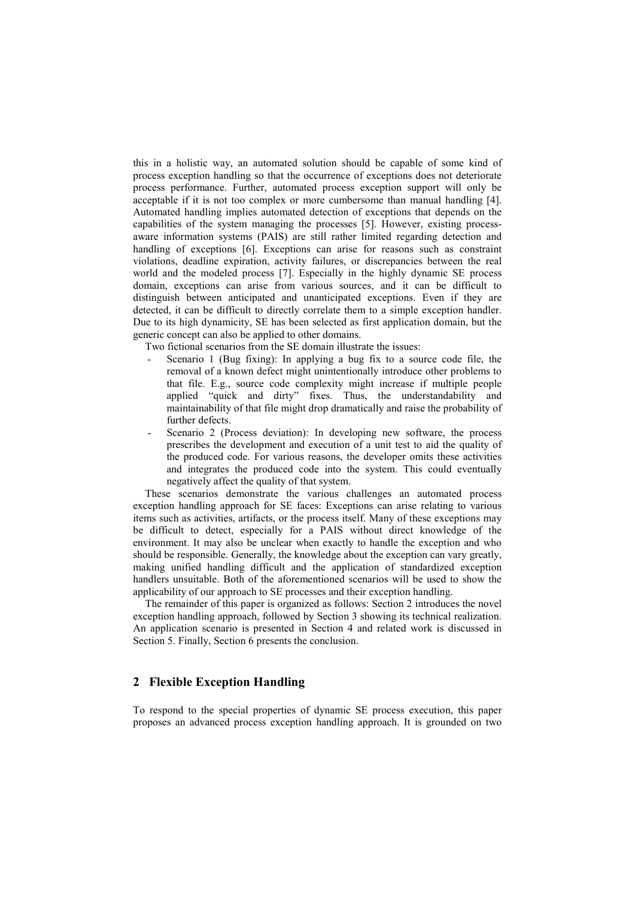this in a holistic way, an automated solution should be capable of some kind of process exception handling so that the occurrence of exceptions does not deteriorate process performance. Further, automated process exception support will only be acceptable if it is not too complex or more cumbersome than manual handling [4]. Automated handling implies automated detection of exceptions that depends on the capabilities of the system managing the processes [5]. However, existing processaware information systems (PAIS) are still rather limited regarding detection and handling of exceptions [6]. Exceptions can arise for reasons such as constraint violations, deadline expiration, activity failures, or discrepancies between the real world and the modeled process [7]. Especially in the highly dynamic SE process domain, exceptions can arise from various sources, and it can be difficult to distinguish between anticipated and unanticipated exceptions. Even if they are detected, it can be difficult to directly correlate them to a simple exception handler. Due to its high dynamicity, SE has been selected as first application domain, but the generic concept can also be applied to other domains.

Two fictional scenarios from the SE domain illustrate the issues:

- Scenario 1 (Bug fixing): In applying a bug fix to a source code file, the removal of a known defect might unintentionally introduce other problems to that file. E.g., source code complexity might increase if multiple people applied "quick and dirty" fixes. Thus, the understandability and maintainability of that file might drop dramatically and raise the probability of further defects.
- Scenario 2 (Process deviation): In developing new software, the process prescribes the development and execution of a unit test to aid the quality of the produced code. For various reasons, the developer omits these activities and integrates the produced code into the system. This could eventually negatively affect the quality of that system.

These scenarios demonstrate the various challenges an automated process exception handling approach for SE faces: Exceptions can arise relating to various items such as activities, artifacts, or the process itself. Many of these exceptions may be difficult to detect, especially for a PAIS without direct knowledge of the environment. It may also be unclear when exactly to handle the exception and who should be responsible. Generally, the knowledge about the exception can vary greatly, making unified handling difficult and the application of standardized exception handlers unsuitable. Both of the aforementioned scenarios will be used to show the applicability of our approach to SE processes and their exception handling.

The remainder of this paper is organized as follows: Section 2 introduces the novel exception handling approach, followed by Section 3 showing its technical realization. An application scenario is presented in Section 4 and related work is discussed in Section 5. Finally, Section 6 presents the conclusion.

# **2 Flexible Exception Handling**

To respond to the special properties of dynamic SE process execution, this paper proposes an advanced process exception handling approach. It is grounded on two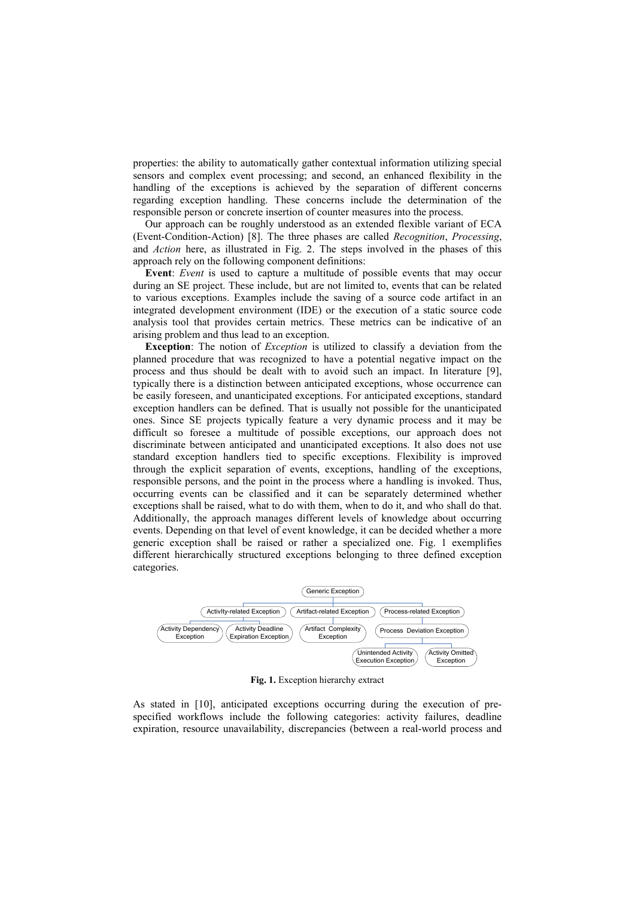properties: the ability to automatically gather contextual information utilizing special sensors and complex event processing; and second, an enhanced flexibility in the handling of the exceptions is achieved by the separation of different concerns regarding exception handling. These concerns include the determination of the responsible person or concrete insertion of counter measures into the process.

Our approach can be roughly understood as an extended flexible variant of ECA (Event-Condition-Action) [8]. The three phases are called *Recognition*, *Processing*, and *Action* here, as illustrated in Fig. 2. The steps involved in the phases of this approach rely on the following component definitions:

**Event**: *Event* is used to capture a multitude of possible events that may occur during an SE project. These include, but are not limited to, events that can be related to various exceptions. Examples include the saving of a source code artifact in an integrated development environment (IDE) or the execution of a static source code analysis tool that provides certain metrics. These metrics can be indicative of an arising problem and thus lead to an exception.

**Exception**: The notion of *Exception* is utilized to classify a deviation from the planned procedure that was recognized to have a potential negative impact on the process and thus should be dealt with to avoid such an impact. In literature [9], typically there is a distinction between anticipated exceptions, whose occurrence can be easily foreseen, and unanticipated exceptions. For anticipated exceptions, standard exception handlers can be defined. That is usually not possible for the unanticipated ones. Since SE projects typically feature a very dynamic process and it may be difficult so foresee a multitude of possible exceptions, our approach does not discriminate between anticipated and unanticipated exceptions. It also does not use standard exception handlers tied to specific exceptions. Flexibility is improved through the explicit separation of events, exceptions, handling of the exceptions, responsible persons, and the point in the process where a handling is invoked. Thus, occurring events can be classified and it can be separately determined whether exceptions shall be raised, what to do with them, when to do it, and who shall do that. Additionally, the approach manages different levels of knowledge about occurring events. Depending on that level of event knowledge, it can be decided whether a more generic exception shall be raised or rather a specialized one. Fig. 1 exemplifies different hierarchically structured exceptions belonging to three defined exception categories.



**Fig. 1.** Exception hierarchy extract

As stated in [10], anticipated exceptions occurring during the execution of prespecified workflows include the following categories: activity failures, deadline expiration, resource unavailability, discrepancies (between a real-world process and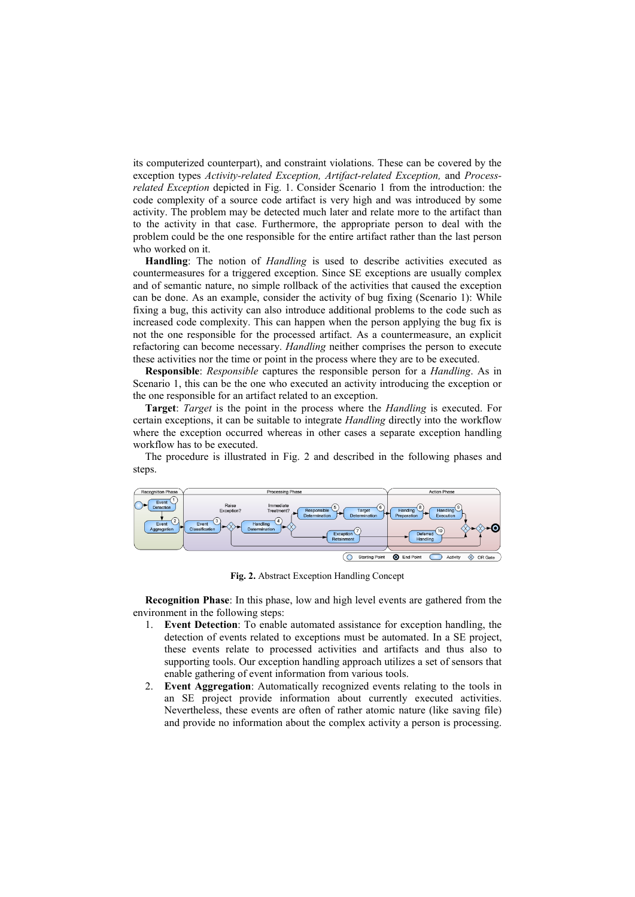its computerized counterpart), and constraint violations. These can be covered by the exception types *Activity-related Exception, Artifact-related Exception,* and *Processrelated Exception* depicted in Fig. 1. Consider Scenario 1 from the introduction: the code complexity of a source code artifact is very high and was introduced by some activity. The problem may be detected much later and relate more to the artifact than to the activity in that case. Furthermore, the appropriate person to deal with the problem could be the one responsible for the entire artifact rather than the last person who worked on it.

**Handling**: The notion of *Handling* is used to describe activities executed as countermeasures for a triggered exception. Since SE exceptions are usually complex and of semantic nature, no simple rollback of the activities that caused the exception can be done. As an example, consider the activity of bug fixing (Scenario 1): While fixing a bug, this activity can also introduce additional problems to the code such as increased code complexity. This can happen when the person applying the bug fix is not the one responsible for the processed artifact. As a countermeasure, an explicit refactoring can become necessary. *Handling* neither comprises the person to execute these activities nor the time or point in the process where they are to be executed.

**Responsible**: *Responsible* captures the responsible person for a *Handling*. As in Scenario 1, this can be the one who executed an activity introducing the exception or the one responsible for an artifact related to an exception.

**Target**: *Target* is the point in the process where the *Handling* is executed. For certain exceptions, it can be suitable to integrate *Handling* directly into the workflow where the exception occurred whereas in other cases a separate exception handling workflow has to be executed.

The procedure is illustrated in Fig. 2 and described in the following phases and steps.



**Fig. 2.** Abstract Exception Handling Concept

**Recognition Phase**: In this phase, low and high level events are gathered from the environment in the following steps:

- 1. **Event Detection**: To enable automated assistance for exception handling, the detection of events related to exceptions must be automated. In a SE project, these events relate to processed activities and artifacts and thus also to supporting tools. Our exception handling approach utilizes a set of sensors that enable gathering of event information from various tools.
- 2. **Event Aggregation**: Automatically recognized events relating to the tools in an SE project provide information about currently executed activities. Nevertheless, these events are often of rather atomic nature (like saving file) and provide no information about the complex activity a person is processing.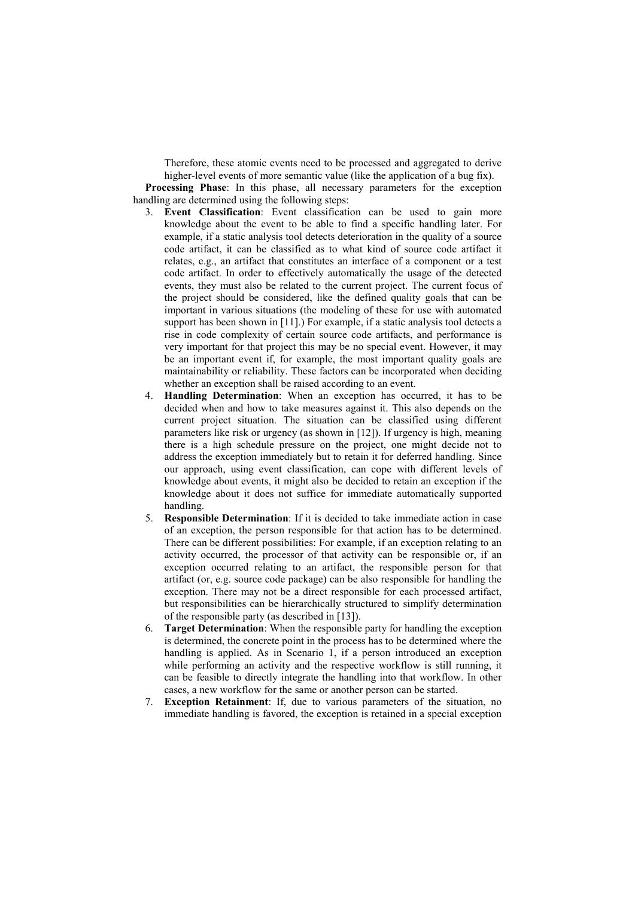Therefore, these atomic events need to be processed and aggregated to derive higher-level events of more semantic value (like the application of a bug fix).

**Processing Phase**: In this phase, all necessary parameters for the exception handling are determined using the following steps:

- 3. **Event Classification**: Event classification can be used to gain more knowledge about the event to be able to find a specific handling later. For example, if a static analysis tool detects deterioration in the quality of a source code artifact, it can be classified as to what kind of source code artifact it relates, e.g., an artifact that constitutes an interface of a component or a test code artifact. In order to effectively automatically the usage of the detected events, they must also be related to the current project. The current focus of the project should be considered, like the defined quality goals that can be important in various situations (the modeling of these for use with automated support has been shown in [11].) For example, if a static analysis tool detects a rise in code complexity of certain source code artifacts, and performance is very important for that project this may be no special event. However, it may be an important event if, for example, the most important quality goals are maintainability or reliability. These factors can be incorporated when deciding whether an exception shall be raised according to an event.
- 4. **Handling Determination**: When an exception has occurred, it has to be decided when and how to take measures against it. This also depends on the current project situation. The situation can be classified using different parameters like risk or urgency (as shown in [12]). If urgency is high, meaning there is a high schedule pressure on the project, one might decide not to address the exception immediately but to retain it for deferred handling. Since our approach, using event classification, can cope with different levels of knowledge about events, it might also be decided to retain an exception if the knowledge about it does not suffice for immediate automatically supported handling.
- 5. **Responsible Determination**: If it is decided to take immediate action in case of an exception, the person responsible for that action has to be determined. There can be different possibilities: For example, if an exception relating to an activity occurred, the processor of that activity can be responsible or, if an exception occurred relating to an artifact, the responsible person for that artifact (or, e.g. source code package) can be also responsible for handling the exception. There may not be a direct responsible for each processed artifact, but responsibilities can be hierarchically structured to simplify determination of the responsible party (as described in [13]).
- 6. **Target Determination**: When the responsible party for handling the exception is determined, the concrete point in the process has to be determined where the handling is applied. As in Scenario 1, if a person introduced an exception while performing an activity and the respective workflow is still running, it can be feasible to directly integrate the handling into that workflow. In other cases, a new workflow for the same or another person can be started.
- 7. **Exception Retainment**: If, due to various parameters of the situation, no immediate handling is favored, the exception is retained in a special exception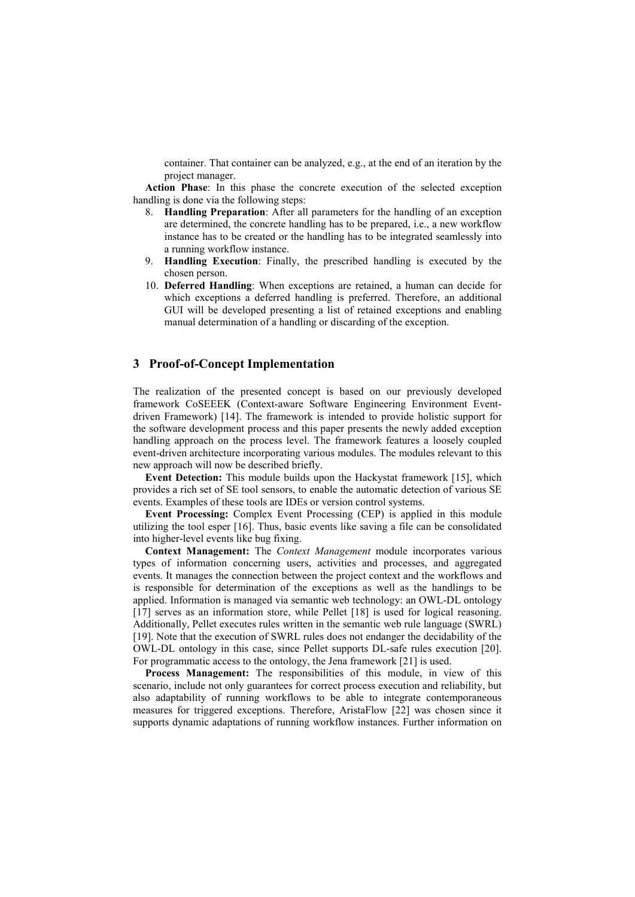container. That container can be analyzed, e.g., at the end of an iteration by the project manager.

**Action Phase**: In this phase the concrete execution of the selected exception handling is done via the following steps:

- 8. **Handling Preparation**: After all parameters for the handling of an exception are determined, the concrete handling has to be prepared, i.e., a new workflow instance has to be created or the handling has to be integrated seamlessly into a running workflow instance.
- 9. **Handling Execution**: Finally, the prescribed handling is executed by the chosen person.
- 10. **Deferred Handling**: When exceptions are retained, a human can decide for which exceptions a deferred handling is preferred. Therefore, an additional GUI will be developed presenting a list of retained exceptions and enabling manual determination of a handling or discarding of the exception.

#### **3 Proof-of-Concept Implementation**

The realization of the presented concept is based on our previously developed framework CoSEEEK (Context-aware Software Engineering Environment Eventdriven Framework) [14]. The framework is intended to provide holistic support for the software development process and this paper presents the newly added exception handling approach on the process level. The framework features a loosely coupled event-driven architecture incorporating various modules. The modules relevant to this new approach will now be described briefly.

**Event Detection:** This module builds upon the Hackystat framework [15], which provides a rich set of SE tool sensors, to enable the automatic detection of various SE events. Examples of these tools are IDEs or version control systems.

**Event Processing:** Complex Event Processing (CEP) is applied in this module utilizing the tool esper [16]. Thus, basic events like saving a file can be consolidated into higher-level events like bug fixing.

**Context Management:** The *Context Management* module incorporates various types of information concerning users, activities and processes, and aggregated events. It manages the connection between the project context and the workflows and is responsible for determination of the exceptions as well as the handlings to be applied. Information is managed via semantic web technology: an OWL-DL ontology [17] serves as an information store, while Pellet [18] is used for logical reasoning. Additionally, Pellet executes rules written in the semantic web rule language (SWRL) [19]. Note that the execution of SWRL rules does not endanger the decidability of the OWL-DL ontology in this case, since Pellet supports DL-safe rules execution [20]. For programmatic access to the ontology, the Jena framework [21] is used.

**Process Management:** The responsibilities of this module, in view of this scenario, include not only guarantees for correct process execution and reliability, but also adaptability of running workflows to be able to integrate contemporaneous measures for triggered exceptions. Therefore, AristaFlow [22] was chosen since it supports dynamic adaptations of running workflow instances. Further information on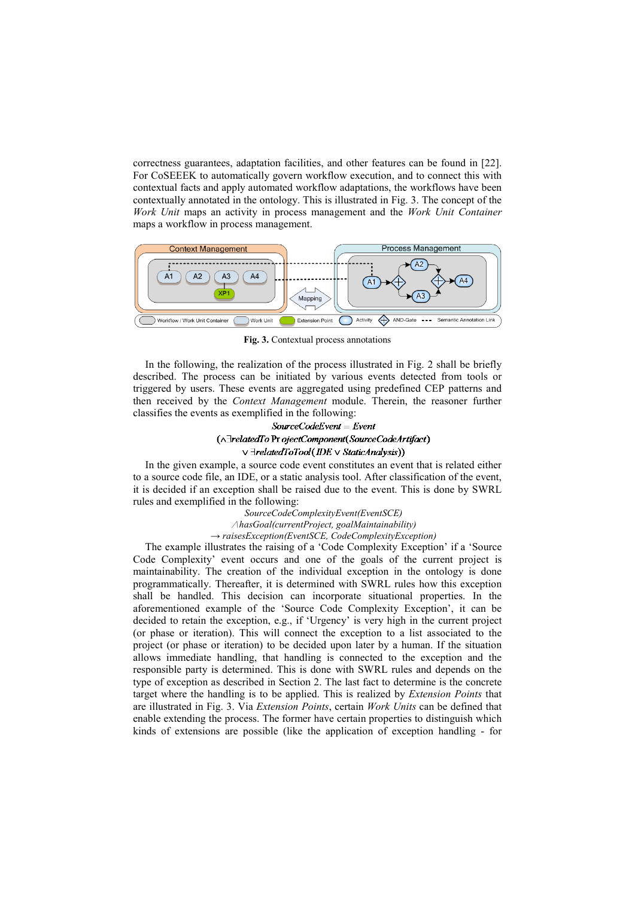correctness guarantees, adaptation facilities, and other features can be found in [22]. For CoSEEEK to automatically govern workflow execution, and to connect this with contextual facts and apply automated workflow adaptations, the workflows have been contextually annotated in the ontology. This is illustrated in Fig. 3. The concept of the *Work Unit* maps an activity in process management and the *Work Unit Container* maps a workflow in process management.



**Fig. 3.** Contextual process annotations

In the following, the realization of the process illustrated in Fig. 2 shall be briefly described. The process can be initiated by various events detected from tools or triggered by users. These events are aggregated using predefined CEP patterns and then received by the *Context Management* module. Therein, the reasoner further classifies the events as exemplified in the following:

#### $SourceCodeEvent = Event$ (A∃relatedTo Pr ojectComponent(SourceCodeArtifact)  $\vee$   $\exists$ relatedToTool(IDE  $\vee$  StaticAnalysis))

In the given example, a source code event constitutes an event that is related either to a source code file, an IDE, or a static analysis tool. After classification of the event, it is decided if an exception shall be raised due to the event. This is done by SWRL rules and exemplified in the following:

> *SourceCodeComplexityEvent(EventSCE)*  ∧*hasGoal(currentProject, goalMaintainability) → raisesException(EventSCE, CodeComplexityException)*

The example illustrates the raising of a 'Code Complexity Exception' if a 'Source Code Complexity' event occurs and one of the goals of the current project is maintainability. The creation of the individual exception in the ontology is done programmatically. Thereafter, it is determined with SWRL rules how this exception shall be handled. This decision can incorporate situational properties. In the aforementioned example of the 'Source Code Complexity Exception', it can be decided to retain the exception, e.g., if 'Urgency' is very high in the current project (or phase or iteration). This will connect the exception to a list associated to the project (or phase or iteration) to be decided upon later by a human. If the situation allows immediate handling, that handling is connected to the exception and the responsible party is determined. This is done with SWRL rules and depends on the type of exception as described in Section 2. The last fact to determine is the concrete target where the handling is to be applied. This is realized by *Extension Points* that are illustrated in Fig. 3. Via *Extension Points*, certain *Work Units* can be defined that enable extending the process. The former have certain properties to distinguish which kinds of extensions are possible (like the application of exception handling - for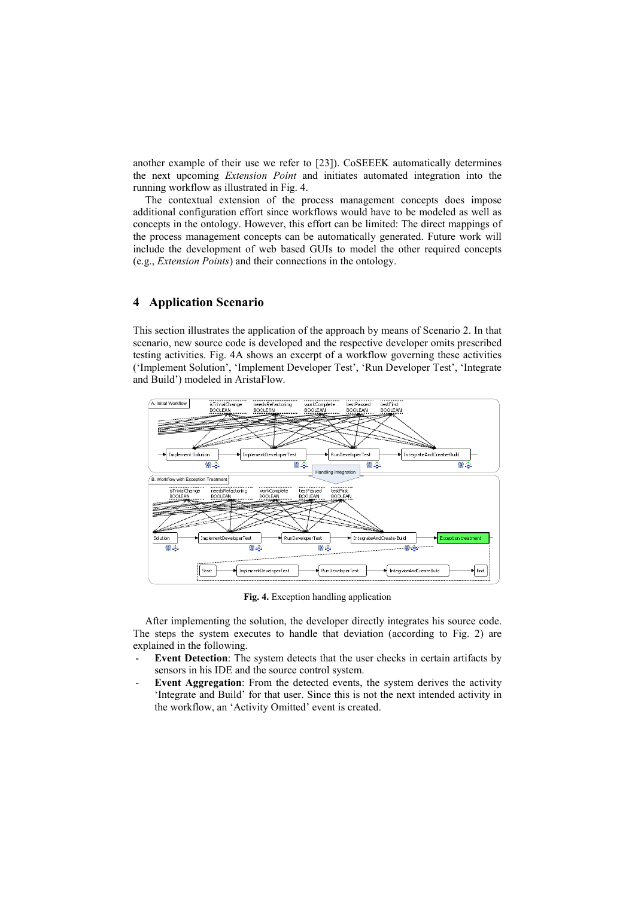another example of their use we refer to [23]). CoSEEEK automatically determines the next upcoming *Extension Point* and initiates automated integration into the running workflow as illustrated in Fig. 4.

The contextual extension of the process management concepts does impose additional configuration effort since workflows would have to be modeled as well as concepts in the ontology. However, this effort can be limited: The direct mappings of the process management concepts can be automatically generated. Future work will include the development of web based GUIs to model the other required concepts (e.g., *Extension Points*) and their connections in the ontology.

# **4 Application Scenario**

This section illustrates the application of the approach by means of Scenario 2. In that scenario, new source code is developed and the respective developer omits prescribed testing activities. Fig. 4A shows an excerpt of a workflow governing these activities ('Implement Solution', 'Implement Developer Test', 'Run Developer Test', 'Integrate and Build') modeled in AristaFlow.



**Fig. 4.** Exception handling application

After implementing the solution, the developer directly integrates his source code. The steps the system executes to handle that deviation (according to Fig. 2) are explained in the following.

- **Event Detection**: The system detects that the user checks in certain artifacts by sensors in his IDE and the source control system.
- Event Aggregation: From the detected events, the system derives the activity 'Integrate and Build' for that user. Since this is not the next intended activity in the workflow, an 'Activity Omitted' event is created.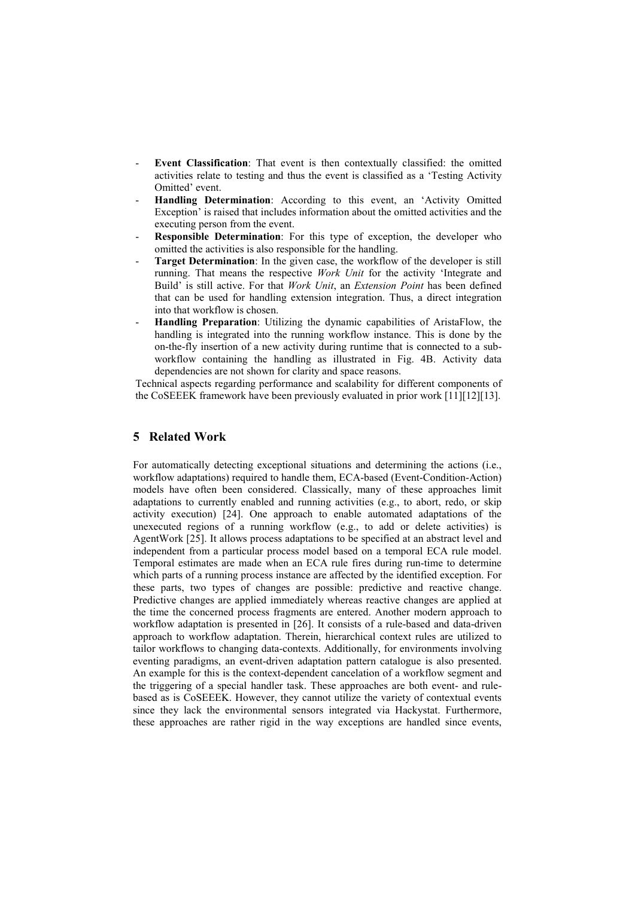- **Event Classification**: That event is then contextually classified: the omitted activities relate to testing and thus the event is classified as a 'Testing Activity Omitted' event.
- Handling Determination: According to this event, an 'Activity Omitted Exception' is raised that includes information about the omitted activities and the executing person from the event.
- Responsible Determination: For this type of exception, the developer who omitted the activities is also responsible for the handling.
- Target Determination: In the given case, the workflow of the developer is still running. That means the respective *Work Unit* for the activity 'Integrate and Build' is still active. For that *Work Unit*, an *Extension Point* has been defined that can be used for handling extension integration. Thus, a direct integration into that workflow is chosen.
- **Handling Preparation**: Utilizing the dynamic capabilities of AristaFlow, the handling is integrated into the running workflow instance. This is done by the on-the-fly insertion of a new activity during runtime that is connected to a subworkflow containing the handling as illustrated in Fig. 4B. Activity data dependencies are not shown for clarity and space reasons.

Technical aspects regarding performance and scalability for different components of the CoSEEEK framework have been previously evaluated in prior work [11][12][13].

# **5 Related Work**

For automatically detecting exceptional situations and determining the actions (i.e., workflow adaptations) required to handle them, ECA-based (Event-Condition-Action) models have often been considered. Classically, many of these approaches limit adaptations to currently enabled and running activities (e.g., to abort, redo, or skip activity execution) [24]. One approach to enable automated adaptations of the unexecuted regions of a running workflow (e.g., to add or delete activities) is AgentWork [25]. It allows process adaptations to be specified at an abstract level and independent from a particular process model based on a temporal ECA rule model. Temporal estimates are made when an ECA rule fires during run-time to determine which parts of a running process instance are affected by the identified exception. For these parts, two types of changes are possible: predictive and reactive change. Predictive changes are applied immediately whereas reactive changes are applied at the time the concerned process fragments are entered. Another modern approach to workflow adaptation is presented in [26]. It consists of a rule-based and data-driven approach to workflow adaptation. Therein, hierarchical context rules are utilized to tailor workflows to changing data-contexts. Additionally, for environments involving eventing paradigms, an event-driven adaptation pattern catalogue is also presented. An example for this is the context-dependent cancelation of a workflow segment and the triggering of a special handler task. These approaches are both event- and rulebased as is CoSEEEK. However, they cannot utilize the variety of contextual events since they lack the environmental sensors integrated via Hackystat. Furthermore, these approaches are rather rigid in the way exceptions are handled since events,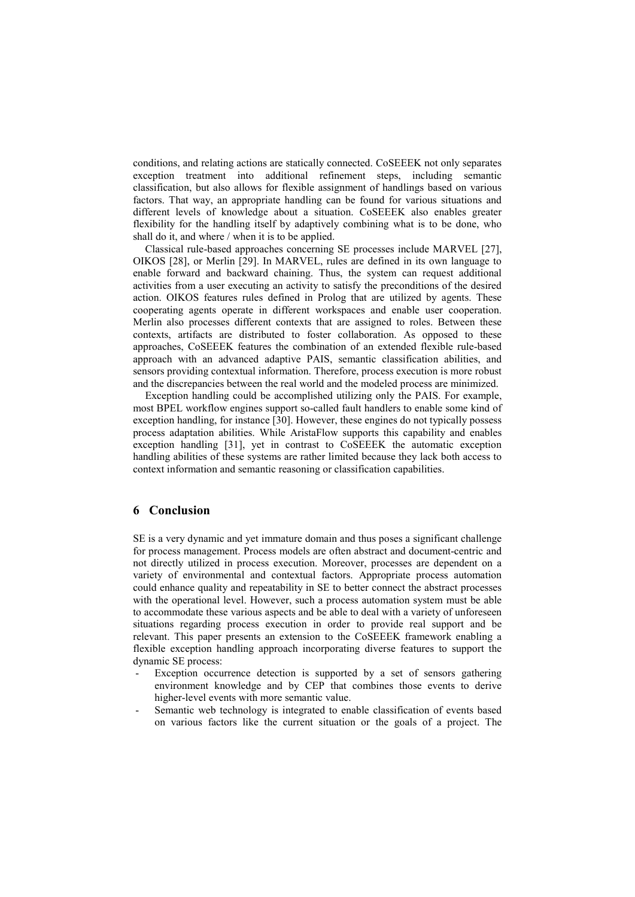conditions, and relating actions are statically connected. CoSEEEK not only separates exception treatment into additional refinement steps, including semantic classification, but also allows for flexible assignment of handlings based on various factors. That way, an appropriate handling can be found for various situations and different levels of knowledge about a situation. CoSEEEK also enables greater flexibility for the handling itself by adaptively combining what is to be done, who shall do it, and where / when it is to be applied.

Classical rule-based approaches concerning SE processes include MARVEL [27], OIKOS [28], or Merlin [29]. In MARVEL, rules are defined in its own language to enable forward and backward chaining. Thus, the system can request additional activities from a user executing an activity to satisfy the preconditions of the desired action. OIKOS features rules defined in Prolog that are utilized by agents. These cooperating agents operate in different workspaces and enable user cooperation. Merlin also processes different contexts that are assigned to roles. Between these contexts, artifacts are distributed to foster collaboration. As opposed to these approaches, CoSEEEK features the combination of an extended flexible rule-based approach with an advanced adaptive PAIS, semantic classification abilities, and sensors providing contextual information. Therefore, process execution is more robust and the discrepancies between the real world and the modeled process are minimized.

Exception handling could be accomplished utilizing only the PAIS. For example, most BPEL workflow engines support so-called fault handlers to enable some kind of exception handling, for instance [30]. However, these engines do not typically possess process adaptation abilities. While AristaFlow supports this capability and enables exception handling [31], yet in contrast to CoSEEEK the automatic exception handling abilities of these systems are rather limited because they lack both access to context information and semantic reasoning or classification capabilities.

## **6 Conclusion**

SE is a very dynamic and yet immature domain and thus poses a significant challenge for process management. Process models are often abstract and document-centric and not directly utilized in process execution. Moreover, processes are dependent on a variety of environmental and contextual factors. Appropriate process automation could enhance quality and repeatability in SE to better connect the abstract processes with the operational level. However, such a process automation system must be able to accommodate these various aspects and be able to deal with a variety of unforeseen situations regarding process execution in order to provide real support and be relevant. This paper presents an extension to the CoSEEEK framework enabling a flexible exception handling approach incorporating diverse features to support the dynamic SE process:

- Exception occurrence detection is supported by a set of sensors gathering environment knowledge and by CEP that combines those events to derive higher-level events with more semantic value.
- Semantic web technology is integrated to enable classification of events based on various factors like the current situation or the goals of a project. The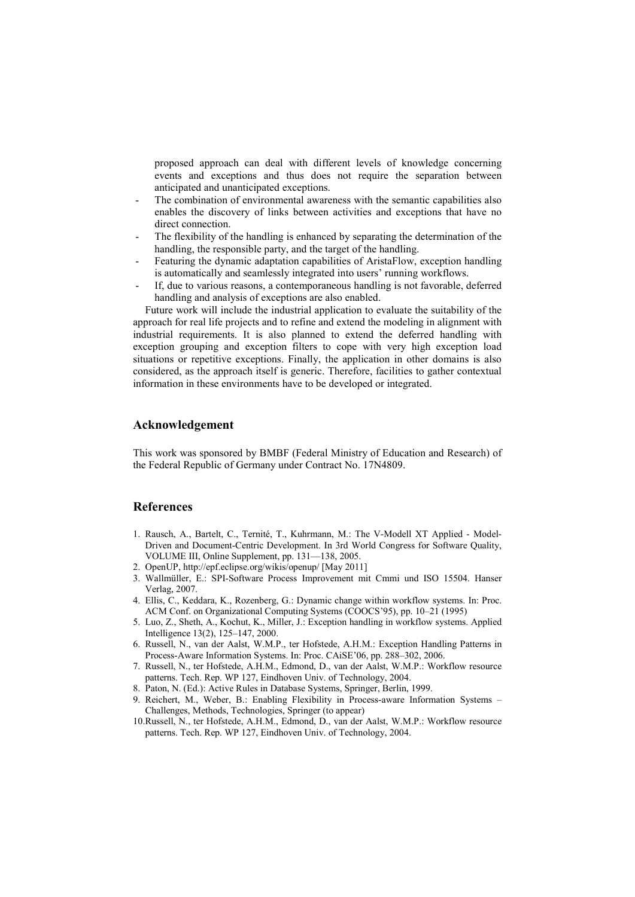proposed approach can deal with different levels of knowledge concerning events and exceptions and thus does not require the separation between anticipated and unanticipated exceptions.

- The combination of environmental awareness with the semantic capabilities also enables the discovery of links between activities and exceptions that have no direct connection.
- The flexibility of the handling is enhanced by separating the determination of the handling, the responsible party, and the target of the handling.
- Featuring the dynamic adaptation capabilities of AristaFlow, exception handling is automatically and seamlessly integrated into users' running workflows.
- If, due to various reasons, a contemporaneous handling is not favorable, deferred handling and analysis of exceptions are also enabled.

Future work will include the industrial application to evaluate the suitability of the approach for real life projects and to refine and extend the modeling in alignment with industrial requirements. It is also planned to extend the deferred handling with exception grouping and exception filters to cope with very high exception load situations or repetitive exceptions. Finally, the application in other domains is also considered, as the approach itself is generic. Therefore, facilities to gather contextual information in these environments have to be developed or integrated.

## **Acknowledgement**

This work was sponsored by BMBF (Federal Ministry of Education and Research) of the Federal Republic of Germany under Contract No. 17N4809.

## **References**

- 1. Rausch, A., Bartelt, C., Ternité, T., Kuhrmann, M.: The V-Modell XT Applied Model-Driven and Document-Centric Development. In 3rd World Congress for Software Quality, VOLUME III, Online Supplement, pp. 131—138, 2005.
- 2. OpenUP, http://epf.eclipse.org/wikis/openup/ [May 2011]
- 3. Wallmüller, E.: SPI-Software Process Improvement mit Cmmi und ISO 15504. Hanser Verlag, 2007.
- 4. Ellis, C., Keddara, K., Rozenberg, G.: Dynamic change within workflow systems. In: Proc. ACM Conf. on Organizational Computing Systems (COOCS'95), pp. 10–21 (1995)
- 5. Luo, Z., Sheth, A., Kochut, K., Miller, J.: Exception handling in workflow systems. Applied Intelligence 13(2), 125–147, 2000.
- 6. Russell, N., van der Aalst, W.M.P., ter Hofstede, A.H.M.: Exception Handling Patterns in Process-Aware Information Systems. In: Proc. CAiSE'06, pp. 288–302, 2006.
- 7. Russell, N., ter Hofstede, A.H.M., Edmond, D., van der Aalst, W.M.P.: Workflow resource patterns. Tech. Rep. WP 127, Eindhoven Univ. of Technology, 2004.
- 8. Paton, N. (Ed.): Active Rules in Database Systems, Springer, Berlin, 1999.
- 9. Reichert, M., Weber, B.: Enabling Flexibility in Process-aware Information Systems Challenges, Methods, Technologies, Springer (to appear)
- 10.Russell, N., ter Hofstede, A.H.M., Edmond, D., van der Aalst, W.M.P.: Workflow resource patterns. Tech. Rep. WP 127, Eindhoven Univ. of Technology, 2004.